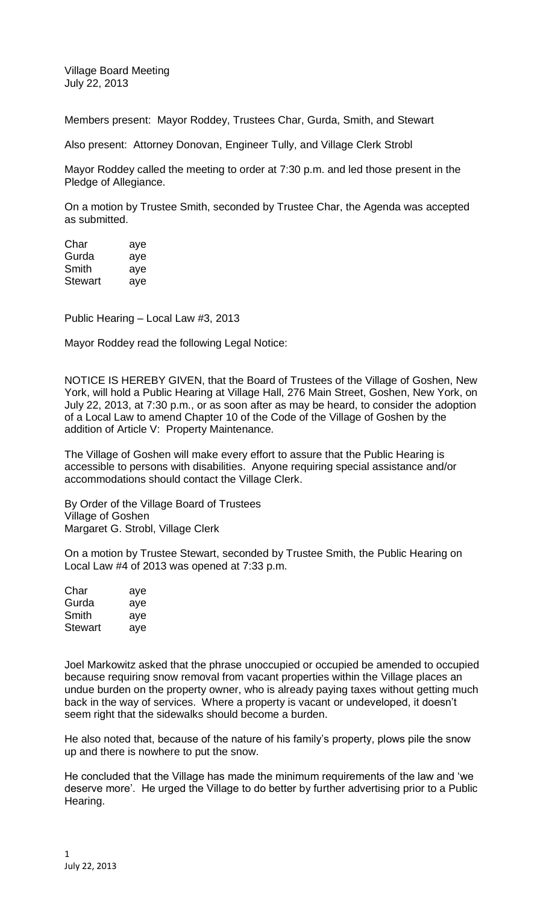Village Board Meeting July 22, 2013

Members present: Mayor Roddey, Trustees Char, Gurda, Smith, and Stewart

Also present: Attorney Donovan, Engineer Tully, and Village Clerk Strobl

Mayor Roddey called the meeting to order at 7:30 p.m. and led those present in the Pledge of Allegiance.

On a motion by Trustee Smith, seconded by Trustee Char, the Agenda was accepted as submitted.

| Char    | aye |
|---------|-----|
| Gurda   | aye |
| Smith   | aye |
| Stewart | aye |

Public Hearing – Local Law #3, 2013

Mayor Roddey read the following Legal Notice:

NOTICE IS HEREBY GIVEN, that the Board of Trustees of the Village of Goshen, New York, will hold a Public Hearing at Village Hall, 276 Main Street, Goshen, New York, on July 22, 2013, at 7:30 p.m., or as soon after as may be heard, to consider the adoption of a Local Law to amend Chapter 10 of the Code of the Village of Goshen by the addition of Article V: Property Maintenance*.*

The Village of Goshen will make every effort to assure that the Public Hearing is accessible to persons with disabilities. Anyone requiring special assistance and/or accommodations should contact the Village Clerk.

By Order of the Village Board of Trustees Village of Goshen Margaret G. Strobl, Village Clerk

On a motion by Trustee Stewart, seconded by Trustee Smith, the Public Hearing on Local Law #4 of 2013 was opened at 7:33 p.m.

| Char           | aye |
|----------------|-----|
| Gurda          | aye |
| Smith          | aye |
| <b>Stewart</b> | aye |

Joel Markowitz asked that the phrase unoccupied or occupied be amended to occupied because requiring snow removal from vacant properties within the Village places an undue burden on the property owner, who is already paying taxes without getting much back in the way of services. Where a property is vacant or undeveloped, it doesn't seem right that the sidewalks should become a burden.

He also noted that, because of the nature of his family's property, plows pile the snow up and there is nowhere to put the snow.

He concluded that the Village has made the minimum requirements of the law and 'we deserve more'. He urged the Village to do better by further advertising prior to a Public Hearing.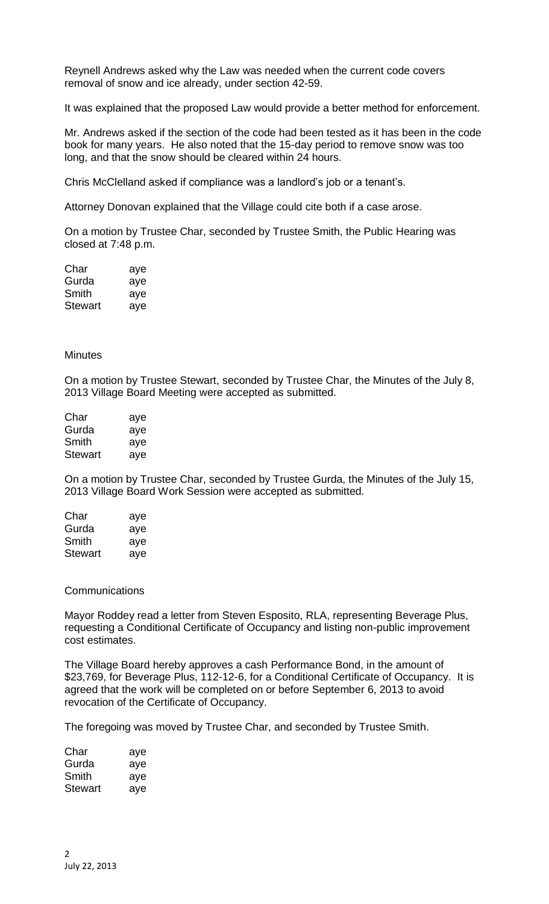Reynell Andrews asked why the Law was needed when the current code covers removal of snow and ice already, under section 42-59.

It was explained that the proposed Law would provide a better method for enforcement.

Mr. Andrews asked if the section of the code had been tested as it has been in the code book for many years. He also noted that the 15-day period to remove snow was too long, and that the snow should be cleared within 24 hours.

Chris McClelland asked if compliance was a landlord's job or a tenant's.

Attorney Donovan explained that the Village could cite both if a case arose.

On a motion by Trustee Char, seconded by Trustee Smith, the Public Hearing was closed at 7:48 p.m.

| Char           | aye |
|----------------|-----|
| Gurda          | aye |
| Smith          | aye |
| <b>Stewart</b> | aye |

### **Minutes**

On a motion by Trustee Stewart, seconded by Trustee Char, the Minutes of the July 8, 2013 Village Board Meeting were accepted as submitted.

| Char           | aye |
|----------------|-----|
| Gurda          | aye |
| Smith          | aye |
| <b>Stewart</b> | aye |

On a motion by Trustee Char, seconded by Trustee Gurda, the Minutes of the July 15, 2013 Village Board Work Session were accepted as submitted.

| Char           | aye |
|----------------|-----|
| Gurda          | aye |
| Smith          | aye |
| <b>Stewart</b> | aye |

### **Communications**

Mayor Roddey read a letter from Steven Esposito, RLA, representing Beverage Plus, requesting a Conditional Certificate of Occupancy and listing non-public improvement cost estimates.

The Village Board hereby approves a cash Performance Bond, in the amount of \$23,769, for Beverage Plus, 112-12-6, for a Conditional Certificate of Occupancy. It is agreed that the work will be completed on or before September 6, 2013 to avoid revocation of the Certificate of Occupancy.

The foregoing was moved by Trustee Char, and seconded by Trustee Smith.

| Char    | aye |
|---------|-----|
| Gurda   | aye |
| Smith   | aye |
| Stewart | aye |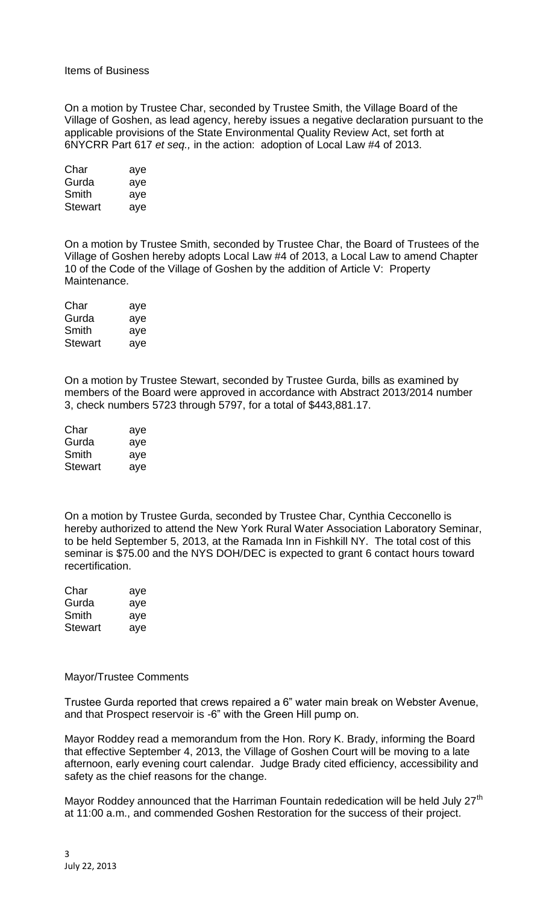## Items of Business

On a motion by Trustee Char, seconded by Trustee Smith, the Village Board of the Village of Goshen, as lead agency, hereby issues a negative declaration pursuant to the applicable provisions of the State Environmental Quality Review Act, set forth at 6NYCRR Part 617 *et seq.,* in the action: adoption of Local Law #4 of 2013.

| Char           | aye |
|----------------|-----|
| Gurda          | aye |
| Smith          | aye |
| <b>Stewart</b> | aye |

On a motion by Trustee Smith, seconded by Trustee Char, the Board of Trustees of the Village of Goshen hereby adopts Local Law #4 of 2013, a Local Law to amend Chapter 10 of the Code of the Village of Goshen by the addition of Article V: Property Maintenance.

| Char    | aye |
|---------|-----|
| Gurda   | aye |
| Smith   | aye |
| Stewart | aye |

On a motion by Trustee Stewart, seconded by Trustee Gurda, bills as examined by members of the Board were approved in accordance with Abstract 2013/2014 number 3, check numbers 5723 through 5797, for a total of \$443,881.17.

| Char           | aye |
|----------------|-----|
| Gurda          | aye |
| Smith          | aye |
| <b>Stewart</b> | aye |

On a motion by Trustee Gurda, seconded by Trustee Char, Cynthia Cecconello is hereby authorized to attend the New York Rural Water Association Laboratory Seminar, to be held September 5, 2013, at the Ramada Inn in Fishkill NY. The total cost of this seminar is \$75.00 and the NYS DOH/DEC is expected to grant 6 contact hours toward recertification.

| Char           | aye |
|----------------|-----|
| Gurda          | aye |
| Smith          | aye |
| <b>Stewart</b> | aye |

#### Mayor/Trustee Comments

Trustee Gurda reported that crews repaired a 6" water main break on Webster Avenue, and that Prospect reservoir is -6" with the Green Hill pump on.

Mayor Roddey read a memorandum from the Hon. Rory K. Brady, informing the Board that effective September 4, 2013, the Village of Goshen Court will be moving to a late afternoon, early evening court calendar. Judge Brady cited efficiency, accessibility and safety as the chief reasons for the change.

Mayor Roddey announced that the Harriman Fountain rededication will be held July 27<sup>th</sup> at 11:00 a.m., and commended Goshen Restoration for the success of their project.